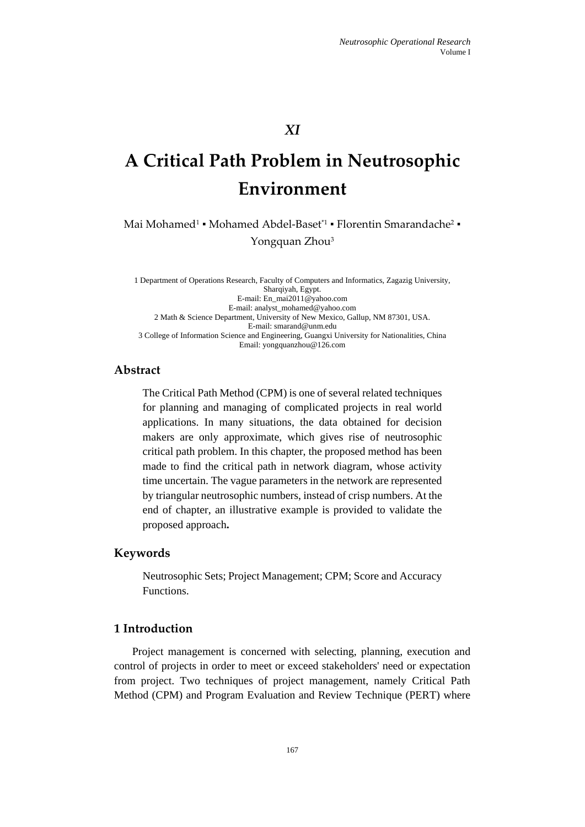# *XI*

# **A Critical Path Problem in Neutrosophic Environment**

Mai Mohamed<sup>1</sup> • Mohamed Abdel-Baset<sup>\*1</sup> • Florentin Smarandache<sup>2</sup> • Yongquan Zhou<sup>3</sup>

1 Department of Operations Research, Faculty of Computers and Informatics, Zagazig University, Sharqiyah, Egypt. E-mail: En\_mai2011@yahoo.com E-mail: analyst\_mohamed@yahoo.com 2 Math & Science Department, University of New Mexico, Gallup, NM 87301, USA. E-mail[: smarand@unm.edu](mailto:smarand@unm.edu) 3 College of Information Science and Engineering, Guangxi University for Nationalities, China Email: yongquanzhou@126.com

# **Abstract**

The Critical Path Method (CPM) is one of several related techniques for planning and managing of complicated projects in real world applications. In many situations, the data obtained for decision makers are only approximate, which gives rise of neutrosophic critical path problem. In this chapter, the proposed method has been made to find the critical path in network diagram, whose activity time uncertain. The vague parameters in the network are represented by triangular neutrosophic numbers, instead of crisp numbers. At the end of chapter, an illustrative example is provided to validate the proposed approach**.**

## **Keywords**

Neutrosophic Sets; Project Management; CPM; Score and Accuracy Functions.

# **1 Introduction**

Project management is concerned with selecting, planning, execution and control of projects in order to meet or exceed stakeholders' need or expectation from project. Two techniques of project management, namely Critical Path Method (CPM) and Program Evaluation and Review Technique (PERT) where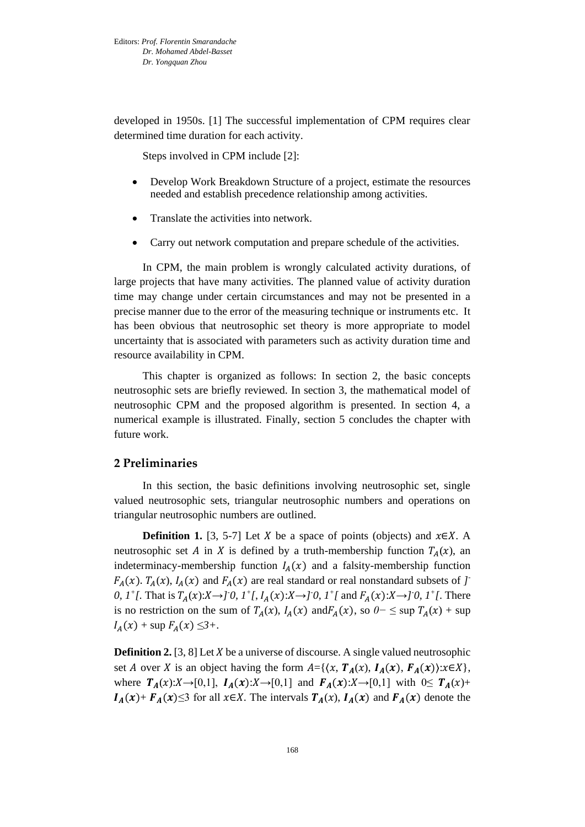developed in 1950s. [1] The successful implementation of CPM requires clear determined time duration for each activity.

Steps involved in CPM include [2]:

- Develop Work Breakdown Structure of a project, estimate the resources needed and establish precedence relationship among activities.
- Translate the activities into network.
- Carry out network computation and prepare schedule of the activities.

In CPM, the main problem is wrongly calculated activity durations, of large projects that have many activities. The planned value of activity duration time may change under certain circumstances and may not be presented in a precise manner due to the error of the measuring technique or instruments etc. It has been obvious that neutrosophic set theory is more appropriate to model uncertainty that is associated with parameters such as activity duration time and resource availability in CPM.

This chapter is organized as follows: In section 2, the basic concepts neutrosophic sets are briefly reviewed. In section 3, the mathematical model of neutrosophic CPM and the proposed algorithm is presented. In section 4, a numerical example is illustrated. Finally, section 5 concludes the chapter with future work.

# **2 Preliminaries**

In this section, the basic definitions involving neutrosophic set, single valued neutrosophic sets, triangular neutrosophic numbers and operations on triangular neutrosophic numbers are outlined.

**Definition 1.** [3, 5-7] Let *X* be a space of points (objects) and  $x \in X$ . A neutrosophic set A in X is defined by a truth-membership function  $T_A(x)$ , an indeterminacy-membership function  $I_A(x)$  and a falsity-membership function  $F_A(x)$ .  $T_A(x)$ ,  $I_A(x)$  and  $F_A(x)$  are real standard or real nonstandard subsets of *] 0, 1<sup>+</sup> [.* That is  $T_A(x): X \to J^0$ ,  $T^+$ ,  $I_A(x): X \to J^0$ ,  $T^+$  and  $F_A(x): X \to J^0$ ,  $T^+$ , There is no restriction on the sum of  $T_A(x)$ ,  $I_A(x)$  and $F_A(x)$ , so  $0-$  ≤ sup  $T_A(x)$  + sup  $I_A(x)$  + sup  $F_A(x) \leq 3+$ .

**Definition 2.** [3, 8] Let  $X$  be a universe of discourse. A single valued neutrosophic set *A* over *X* is an object having the form  $A = \{ \langle x, T_A(x), I_A(x), F_A(x) \rangle : x \in X \},\$ where  $T_A(x):X\to[0,1], I_A(x):X\to[0,1]$  and  $F_A(x):X\to[0,1]$  with  $0\leq T_A(x)+$  $I_A(x)$ +  $F_A(x)$ ≤3 for all  $x \in X$ . The intervals  $T_A(x)$ ,  $I_A(x)$  and  $F_A(x)$  denote the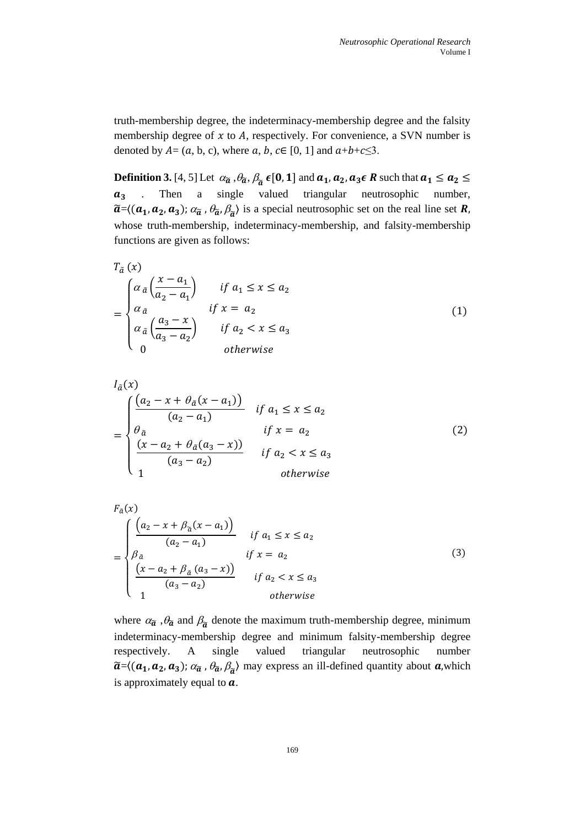truth-membership degree, the indeterminacy-membership degree and the falsity membership degree of  $x$  to  $A$ , respectively. For convenience, a SVN number is denoted by  $A = (a, b, c)$ , where  $a, b, c \in [0, 1]$  and  $a+b+c \leq 3$ .

**Definition 3.** [4, 5] Let  $\alpha_{\widetilde{a}}$  ,  $\theta_{\widetilde{a}}$ ,  $\beta_{\widetilde{a}}$   $\epsilon$ [**0**, **1**] and  $a_1$ ,  $a_2$ ,  $a_3 \epsilon$  **R** such that  $a_1 \le a_2 \le$  $a_3$  . Then a single valued triangular neutrosophic number,  $\tilde{a}$ = $\langle (a_1, a_2, a_3)$ ;  $\alpha_{\tilde{a}}$ ,  $\theta_{\tilde{a}}$ ,  $\beta_{\tilde{a}}\rangle$  is a special neutrosophic set on the real line set **R**, whose truth-membership, indeterminacy-membership, and falsity-membership functions are given as follows:

$$
T_{\tilde{a}}(x)
$$
\n
$$
= \begin{cases}\n\alpha_{\tilde{a}}\left(\frac{x-a_1}{a_2-a_1}\right) & \text{if } a_1 \leq x \leq a_2 \\
\alpha_{\tilde{a}} & \text{if } x = a_2 \\
\alpha_{\tilde{a}}\left(\frac{a_3-x}{a_3-a_2}\right) & \text{if } a_2 < x \leq a_3 \\
0 & \text{otherwise}\n\end{cases} \tag{1}
$$

$$
I_{\tilde{a}}(x)
$$
\n
$$
= \begin{cases}\n\frac{(a_{2} - x + \theta_{\tilde{a}}(x - a_{1}))}{(a_{2} - a_{1})} & \text{if } a_{1} \leq x \leq a_{2} \\
\theta_{\tilde{a}} & \text{if } x = a_{2} \\
\frac{(x - a_{2} + \theta_{\tilde{a}}(a_{3} - x))}{(a_{3} - a_{2})} & \text{if } a_{2} < x \leq a_{3} \\
1 & \text{otherwise}\n\end{cases}
$$
\n(2)

$$
F_{\tilde{a}}(x) = \begin{cases} \frac{(a_2 - x + \beta_{\tilde{a}}(x - a_1))}{(a_2 - a_1)} & \text{if } a_1 \le x \le a_2\\ \beta_{\tilde{a}} & \text{if } x = a_2\\ \frac{(x - a_2 + \beta_{\tilde{a}}(a_3 - x))}{(a_3 - a_2)} & \text{if } a_2 < x \le a_3\\ 1 & \text{otherwise} \end{cases} \tag{3}
$$

 $\sim$ 

where  $\alpha_{\tilde{a}}$ ,  $\theta_{\tilde{a}}$  and  $\beta_{\tilde{a}}$  denote the maximum truth-membership degree, minimum indeterminacy-membership degree and minimum falsity-membership degree respectively. A single valued triangular neutrosophic number  $\widetilde{a}$ ={( $a_1, a_2, a_3$ );  $\alpha_{\widetilde{a}}$ ,  $\theta_{\widetilde{a}}$ ,  $\beta_{\widetilde{a}}$ } may express an ill-defined quantity about  $a$ , which is approximately equal to  $a$ .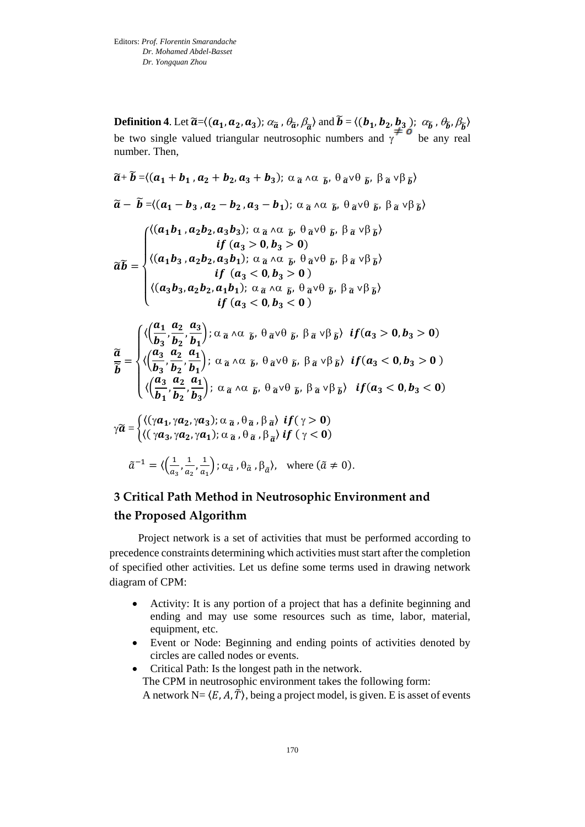**Definition 4**. Let  $\widetilde{a} = \langle (a_1, a_2, a_3); \alpha_{\widetilde{a}}, \theta_{\widetilde{a}}, \beta_{\widetilde{a}} \rangle$  and  $\widetilde{b} = \langle (b_1, b_2, b_3), \alpha_{\widetilde{b}}, \theta_{\widetilde{b}}, \beta_{\widetilde{b}} \rangle$ be two single valued triangular neutrosophic numbers and  $\gamma^{\neq}$  be any real number. Then,

$$
\widetilde{a} + \widetilde{b} = \langle (a_1 + b_1, a_2 + b_2, a_3 + b_3); \alpha \widetilde{a} \wedge \alpha \widetilde{b}, \theta \widetilde{a} \vee \theta \widetilde{b}, \beta \widetilde{a} \vee \beta \widetilde{b} \rangle
$$
\n
$$
\widetilde{a} - \widetilde{b} = \langle (a_1 - b_3, a_2 - b_2, a_3 - b_1); \alpha \widetilde{a} \wedge \alpha \widetilde{b}, \theta \widetilde{a} \vee \theta \widetilde{b}, \beta \widetilde{a} \vee \beta \widetilde{b} \rangle
$$
\n
$$
\widetilde{a} \widetilde{b} = \begin{cases}\n\langle (a_1b_1, a_2b_2, a_3b_3); \alpha \widetilde{a} \wedge \alpha \widetilde{b}, \theta \widetilde{a} \vee \theta \widetilde{b}, \beta \widetilde{a} \vee \beta \widetilde{b} \rangle \\
\langle (a_1b_3, a_2b_2, a_3b_1); \alpha \widetilde{a} \wedge \alpha \widetilde{b}, \theta \widetilde{a} \vee \theta \widetilde{b}, \beta \widetilde{a} \vee \beta \widetilde{b} \rangle \\
\langle (a_3b_3, a_2b_2, a_3b_1); \alpha \widetilde{a} \wedge \alpha \widetilde{b}, \theta \widetilde{a} \vee \theta \widetilde{b}, \beta \widetilde{a} \vee \beta \widetilde{b} \rangle \\
\langle (a_3b_3, a_2b_2, a_1b_1); \alpha \widetilde{a} \wedge \alpha \widetilde{b}, \theta \widetilde{a} \vee \theta \widetilde{b}, \beta \widetilde{a} \vee \beta \widetilde{b} \rangle\n\end{cases}
$$
\n
$$
\widetilde{a} = \begin{cases}\n\langle \left( \frac{a_1}{b_3}, \frac{a_2}{b_2}, \frac{a_3}{b_1} \right); \alpha \widetilde{a} \wedge \alpha \widetilde{b}, \theta \widetilde{a} \vee \theta \widetilde{b}, \beta \widetilde{a} \vee \beta \widetilde{b}) \\
\langle (a_3, a_2, a_
$$

# **3 Critical Path Method in Neutrosophic Environment and the Proposed Algorithm**

Project network is a set of activities that must be performed according to precedence constraints determining which activities must start after the completion of specified other activities. Let us define some terms used in drawing network diagram of CPM:

- Activity: It is any portion of a project that has a definite beginning and ending and may use some resources such as time, labor, material, equipment, etc.
- Event or Node: Beginning and ending points of activities denoted by circles are called nodes or events.
- Critical Path: Is the longest path in the network. The CPM in neutrosophic environment takes the following form: A network N=  $\langle E, A, \tilde{T} \rangle$ , being a project model, is given. E is asset of events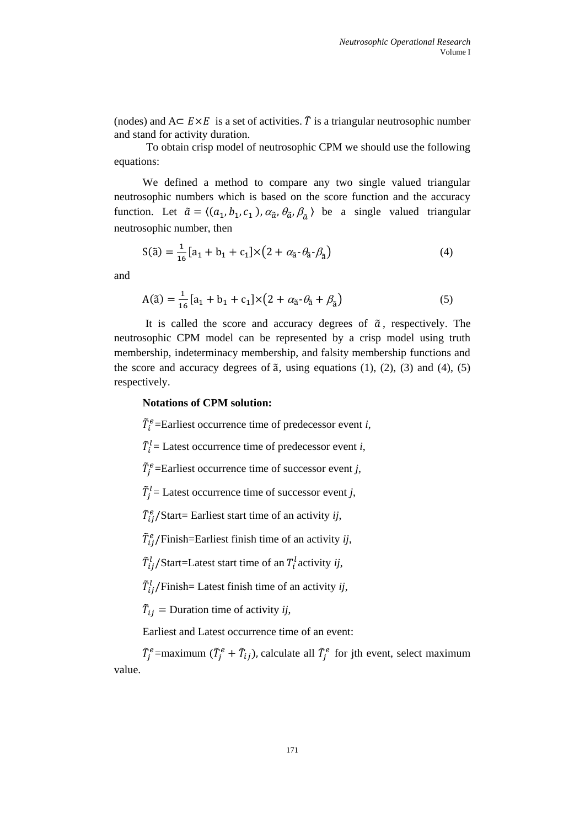(nodes) and  $A \subseteq E \times E$  is a set of activities.  $\tilde{T}$  is a triangular neutrosophic number and stand for activity duration.

To obtain crisp model of neutrosophic CPM we should use the following equations:

We defined a method to compare any two single valued triangular neutrosophic numbers which is based on the score function and the accuracy function. Let  $\tilde{a} = \langle (a_1, b_1, c_1), \alpha_{\tilde{a}}, \theta_{\tilde{a}}, \beta_{\tilde{a}} \rangle$  be a single valued triangular neutrosophic number, then

$$
S(\tilde{a}) = \frac{1}{16} [a_1 + b_1 + c_1] \times (2 + \alpha_{\tilde{a}} \cdot \theta_{\tilde{a}} \cdot \beta_{\tilde{a}})
$$
(4)

and

$$
A(\tilde{a}) = \frac{1}{16} [a_1 + b_1 + c_1] \times (2 + a_{\tilde{a}} \cdot \theta_{\tilde{a}} + \beta_{\tilde{a}})
$$
(5)

It is called the score and accuracy degrees of  $\tilde{a}$ , respectively. The neutrosophic CPM model can be represented by a crisp model using truth membership, indeterminacy membership, and falsity membership functions and the score and accuracy degrees of  $\tilde{a}$ , using equations (1), (2), (3) and (4), (5) respectively.

#### **Notations of CPM solution:**

 $\tilde{T}_i^e$ =Earliest occurrence time of predecessor event *i*,

 $\tilde{T}_i^l$  = Latest occurrence time of predecessor event *i*,

 $\tilde{T}_j^e$ =Earliest occurrence time of successor event *j*,

 $\tilde{T}_j^l$  = Latest occurrence time of successor event *j*,

̃ /Start= Earliest start time of an activity *ij*,

 $\tilde{T}_{ij}^e$ /Finish=Earliest finish time of an activity *ij*,

 $\tilde{T}_{ij}^l$ /Start=Latest start time of an  $T_i^l$ activity *ij*,

 $\tilde{T}_{ij}^l$ /Finish= Latest finish time of an activity *ij*,

 $\tilde{T}_{ij}$  = Duration time of activity *ij*,

Earliest and Latest occurrence time of an event:

 $\tilde{T}_j^e$ =maximum ( $\tilde{T}_j^e + \tilde{T}_{ij}$ ), calculate all  $\tilde{T}_j^e$  for jth event, select maximum value.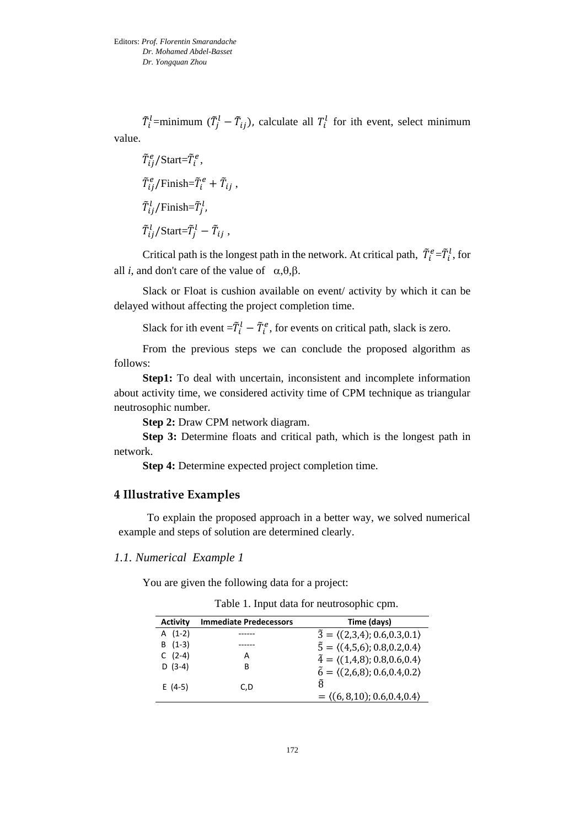$\tilde{T}_i^l$ =minimum ( $\tilde{T}_j^l$  –  $\tilde{T}_{ij}$ ), calculate all  $T_i^l$  for ith event, select minimum value.

$$
\tilde{T}_{ij}^e / \text{Start} = \tilde{T}_i^e,
$$
\n
$$
\tilde{T}_{ij}^e / \text{Finish} = \tilde{T}_i^e + \tilde{T}_{ij},
$$
\n
$$
\tilde{T}_{ij}^l / \text{Finish} = \tilde{T}_j^l,
$$
\n
$$
\tilde{T}_{ij}^l / \text{Start} = \tilde{T}_j^l - \tilde{T}_{ij},
$$

Critical path is the longest path in the network. At critical path,  $\tilde{T}_i^e = \tilde{T}_i^l$ , for all *i*, and don't care of the value of  $\alpha$ , $\theta$ , $\beta$ .

Slack or Float is cushion available on event/ activity by which it can be delayed without affecting the project completion time.

Slack for ith event  $=\tilde{T}_i^l - \tilde{T}_i^e$ , for events on critical path, slack is zero.

From the previous steps we can conclude the proposed algorithm as follows:

**Step1:** To deal with uncertain, inconsistent and incomplete information about activity time, we considered activity time of CPM technique as triangular neutrosophic number.

**Step 2:** Draw CPM network diagram.

**Step 3:** Determine floats and critical path, which is the longest path in network.

**Step 4:** Determine expected project completion time.

# **4 Illustrative Examples**

To explain the proposed approach in a better way, we solved numerical example and steps of solution are determined clearly.

# *1.1. Numerical Example 1*

You are given the following data for a project:

| <b>Activity</b> | <b>Immediate Predecessors</b> | Time (days)                                          |
|-----------------|-------------------------------|------------------------------------------------------|
| $A(1-2)$        |                               | $\tilde{3} = \langle (2,3,4); 0.6, 0.3, 0.1 \rangle$ |
| $B(1-3)$        |                               | $\tilde{5} = \langle (4,5,6); 0.8, 0.2, 0.4 \rangle$ |
| $C(2-4)$        | А                             | $\tilde{4} = \langle (1,4,8); 0.8, 0.6, 0.4 \rangle$ |
| $D(3-4)$        | в                             | $\tilde{6} = \langle (2,6,8); 0.6, 0.4, 0.2 \rangle$ |
| $E(4-5)$        | C.D                           | Ã                                                    |
|                 |                               | $= \langle (6, 8, 10); 0.6, 0.4, 0.4 \rangle$        |

Table 1. Input data for neutrosophic cpm.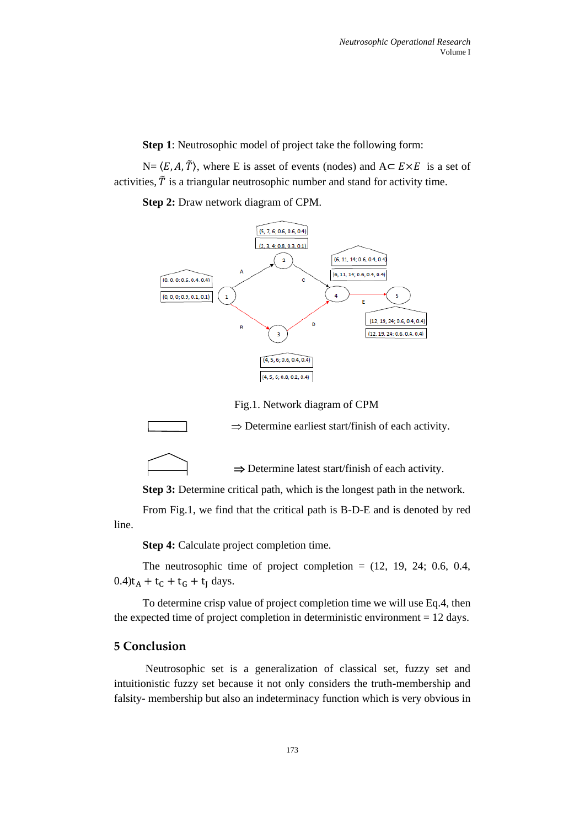**Step 1**: Neutrosophic model of project take the following form:

 $N = \langle E, A, \tilde{T} \rangle$ , where E is asset of events (nodes) and  $A \subset E \times E$  is a set of activities,  $\tilde{T}$  is a triangular neutrosophic number and stand for activity time.

**Step 2:** Draw network diagram of CPM.



Fig.1. Network diagram of CPM



 $\Rightarrow$  Determine latest start/finish of each activity.

**Step 3:** Determine critical path, which is the longest path in the network.

From Fig.1, we find that the critical path is B-D-E and is denoted by red line.

**Step 4:** Calculate project completion time.

The neutrosophic time of project completion  $=$  (12, 19, 24; 0.6, 0.4,  $0.4$ )t<sub>A</sub> + t<sub>C</sub> + t<sub>G</sub> + t<sub>I</sub> days.

To determine crisp value of project completion time we will use Eq.4, then the expected time of project completion in deterministic environment  $= 12$  days.

# **5 Conclusion**

Neutrosophic set is a generalization of classical set, fuzzy set and intuitionistic fuzzy set because it not only considers the truth-membership and falsity- membership but also an indeterminacy function which is very obvious in